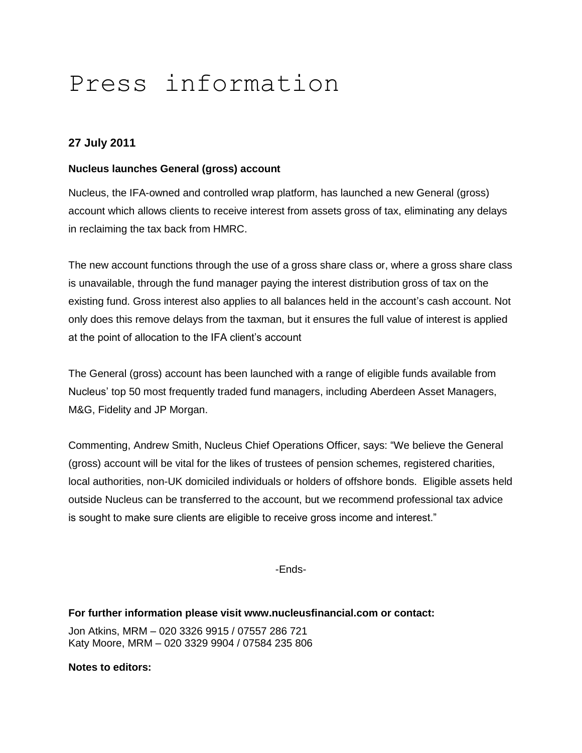# Press information

## **27 July 2011**

#### **Nucleus launches General (gross) account**

Nucleus, the IFA-owned and controlled wrap platform, has launched a new General (gross) account which allows clients to receive interest from assets gross of tax, eliminating any delays in reclaiming the tax back from HMRC.

The new account functions through the use of a gross share class or, where a gross share class is unavailable, through the fund manager paying the interest distribution gross of tax on the existing fund. Gross interest also applies to all balances held in the account's cash account. Not only does this remove delays from the taxman, but it ensures the full value of interest is applied at the point of allocation to the IFA client's account

The General (gross) account has been launched with a range of eligible funds available from Nucleus' top 50 most frequently traded fund managers, including Aberdeen Asset Managers, M&G, Fidelity and JP Morgan.

Commenting, Andrew Smith, Nucleus Chief Operations Officer, says: "We believe the General (gross) account will be vital for the likes of trustees of pension schemes, registered charities, local authorities, non-UK domiciled individuals or holders of offshore bonds. Eligible assets held outside Nucleus can be transferred to the account, but we recommend professional tax advice is sought to make sure clients are eligible to receive gross income and interest."

-Ends-

#### **For further information please visit www.nucleusfinancial.com or contact:**

Jon Atkins, MRM – 020 3326 9915 / 07557 286 721 Katy Moore, MRM – 020 3329 9904 / 07584 235 806

**Notes to editors:**